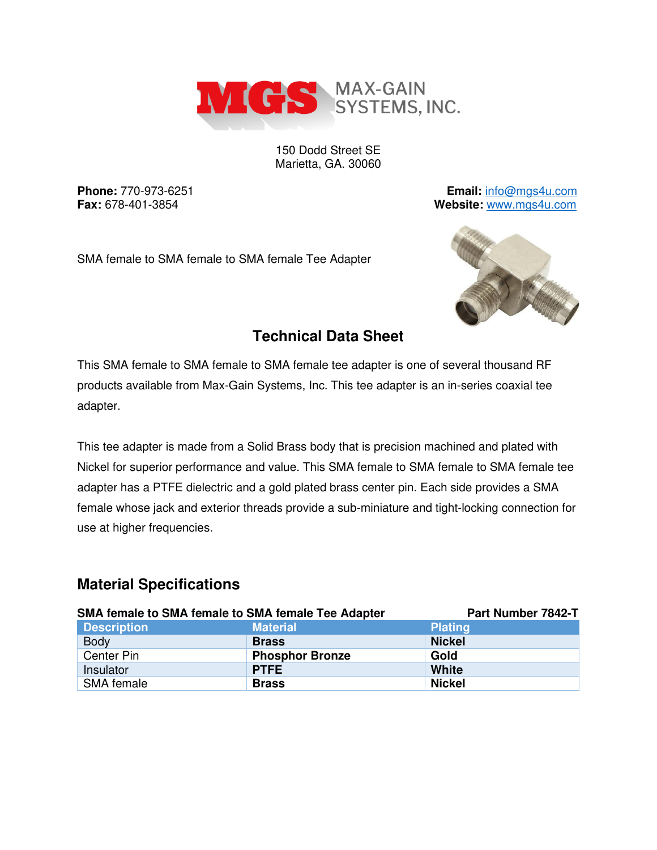

150 Dodd Street SE Marietta, GA. 30060

**Phone:** 770-973-6251 **Email:** [info@mgs4u.com](mailto:info@mgs4u.com) **Fax:** 678-401-3854 **Website:** [www.mgs4u.com](http://www.mgs4u.com/)

SMA female to SMA female to SMA female Tee Adapter



# **Technical Data Sheet**

This SMA female to SMA female to SMA female tee adapter is one of several thousand RF products available from Max-Gain Systems, Inc. This tee adapter is an in-series coaxial tee adapter.

This tee adapter is made from a Solid Brass body that is precision machined and plated with Nickel for superior performance and value. This SMA female to SMA female to SMA female tee adapter has a PTFE dielectric and a gold plated brass center pin. Each side provides a SMA female whose jack and exterior threads provide a sub-miniature and tight-locking connection for use at higher frequencies.

# **Material Specifications**

| SMA female to SMA female to SMA female Tee Adapter |                        | Part Number 7842-T |
|----------------------------------------------------|------------------------|--------------------|
| <b>Description</b>                                 | <b>Material</b>        | <b>Plating</b>     |
| <b>Body</b>                                        | <b>Brass</b>           | <b>Nickel</b>      |
| Center Pin                                         | <b>Phosphor Bronze</b> | Gold               |
| Insulator                                          | <b>PTFE</b>            | <b>White</b>       |
| SMA female                                         | <b>Brass</b>           | <b>Nickel</b>      |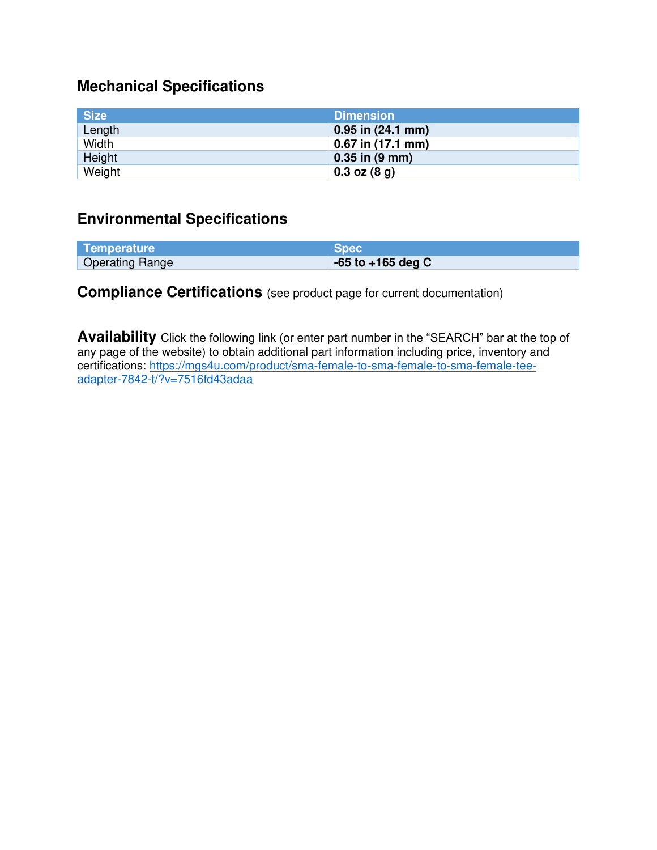## **Mechanical Specifications**

| <b>Size</b> | <b>Dimension</b>           |
|-------------|----------------------------|
| Length      | $0.95$ in $(24.1$ mm)      |
| Width       | $0.67$ in (17.1 mm)        |
| Height      | $0.35$ in $(9 \text{ mm})$ |
| Weight      | $0.3$ oz $(8, g)$          |

#### **Environmental Specifications**

| Temperature            | <b>Spec</b>           |
|------------------------|-----------------------|
| <b>Operating Range</b> | $-65$ to $+165$ deg C |

# **Compliance Certifications** (see product page for current documentation)

**Availability** Click the following link (or enter part number in the "SEARCH" bar at the top of any page of the website) to obtain additional part information including price, inventory and certifications: [https://mgs4u.com/product/sma-female-to-sma-female-to-sma-female-tee](https://mgs4u.com/product/sma-female-to-sma-female-to-sma-female-tee-adapter-7842-t/?v=7516fd43adaa)[adapter-7842-t/?v=7516fd43adaa](https://mgs4u.com/product/sma-female-to-sma-female-to-sma-female-tee-adapter-7842-t/?v=7516fd43adaa)